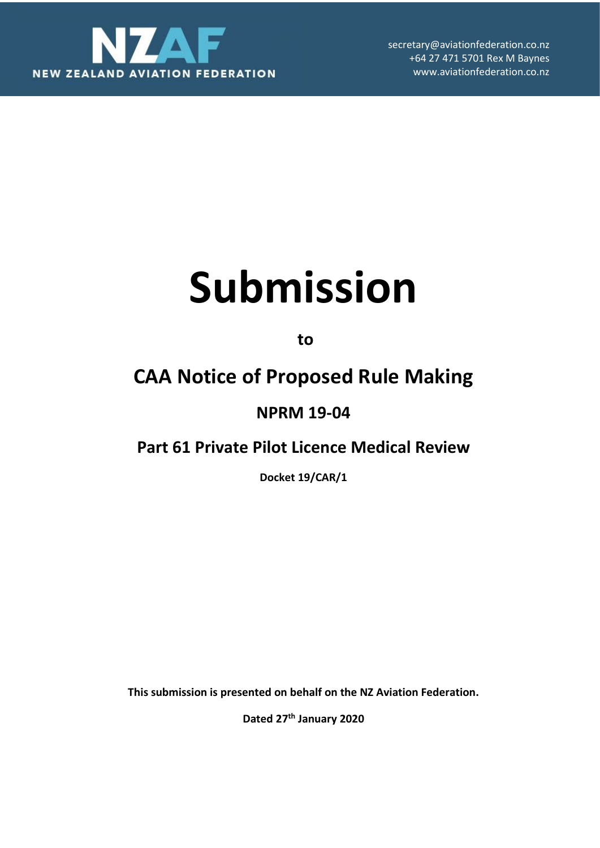

secretary@aviationfederation.co.nz +64 27 471 5701 Rex M Baynes www.aviationfederation.co.nz

# **Submission**

**to** 

# **CAA Notice of Proposed Rule Making**

## **NPRM 19-04**

## **Part 61 Private Pilot Licence Medical Review**

**Docket 19/CAR/1**

**This submission is presented on behalf on the NZ Aviation Federation.** 

**Dated 27th January 2020**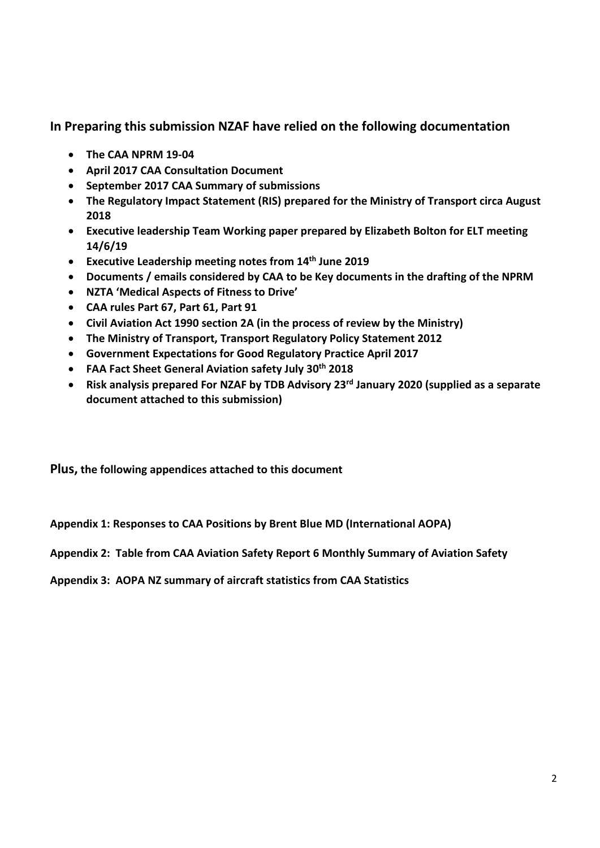**In Preparing this submission NZAF have relied on the following documentation**

- **The CAA NPRM 19-04**
- **April 2017 CAA Consultation Document**
- **September 2017 CAA Summary of submissions**
- **The Regulatory Impact Statement (RIS) prepared for the Ministry of Transport circa August 2018**
- **Executive leadership Team Working paper prepared by Elizabeth Bolton for ELT meeting 14/6/19**
- **Executive Leadership meeting notes from 14th June 2019**
- **Documents / emails considered by CAA to be Key documents in the drafting of the NPRM**
- **NZTA 'Medical Aspects of Fitness to Drive'**
- **CAA rules Part 67, Part 61, Part 91**
- **Civil Aviation Act 1990 section 2A (in the process of review by the Ministry)**
- **The Ministry of Transport, Transport Regulatory Policy Statement 2012**
- **Government Expectations for Good Regulatory Practice April 2017**
- **FAA Fact Sheet General Aviation safety July 30th 2018**
- **Risk analysis prepared For NZAF by TDB Advisory 23rd January 2020 (supplied as a separate document attached to this submission)**

**Plus, the following appendices attached to this document**

**Appendix 1: Responses to CAA Positions by Brent Blue MD (International AOPA)**

**Appendix 2: Table from CAA Aviation Safety Report 6 Monthly Summary of Aviation Safety** 

**Appendix 3: AOPA NZ summary of aircraft statistics from CAA Statistics**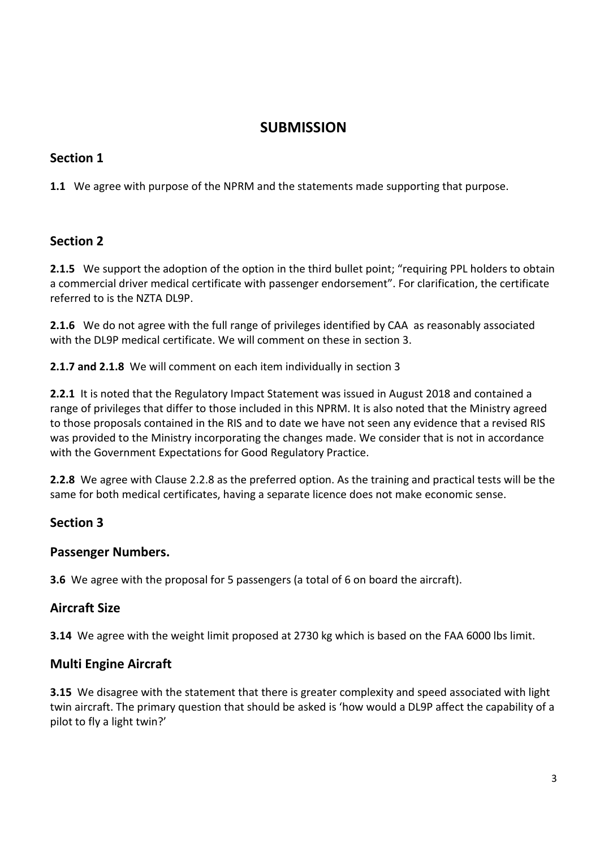### **SUBMISSION**

#### **Section 1**

**1.1** We agree with purpose of the NPRM and the statements made supporting that purpose.

#### **Section 2**

**2.1.5** We support the adoption of the option in the third bullet point; "requiring PPL holders to obtain a commercial driver medical certificate with passenger endorsement". For clarification, the certificate referred to is the NZTA DL9P.

**2.1.6** We do not agree with the full range of privileges identified by CAAas reasonably associated with the DL9P medical certificate. We will comment on these in section 3.

**2.1.7 and 2.1.8** We will comment on each item individually in section 3

**2.2.1** It is noted that the Regulatory Impact Statement was issued in August 2018 and contained a range of privileges that differ to those included in this NPRM. It is also noted that the Ministry agreed to those proposals contained in the RIS and to date we have not seen any evidence that a revised RIS was provided to the Ministry incorporating the changes made. We consider that is not in accordance with the Government Expectations for Good Regulatory Practice.

**2.2.8** We agree with Clause 2.2.8 as the preferred option. As the training and practical tests will be the same for both medical certificates, having a separate licence does not make economic sense.

#### **Section 3**

#### **Passenger Numbers.**

**3.6** We agree with the proposal for 5 passengers (a total of 6 on board the aircraft).

#### **Aircraft Size**

**3.14** We agree with the weight limit proposed at 2730 kg which is based on the FAA 6000 lbs limit.

#### **Multi Engine Aircraft**

**3.15** We disagree with the statement that there is greater complexity and speed associated with light twin aircraft. The primary question that should be asked is 'how would a DL9P affect the capability of a pilot to fly a light twin?'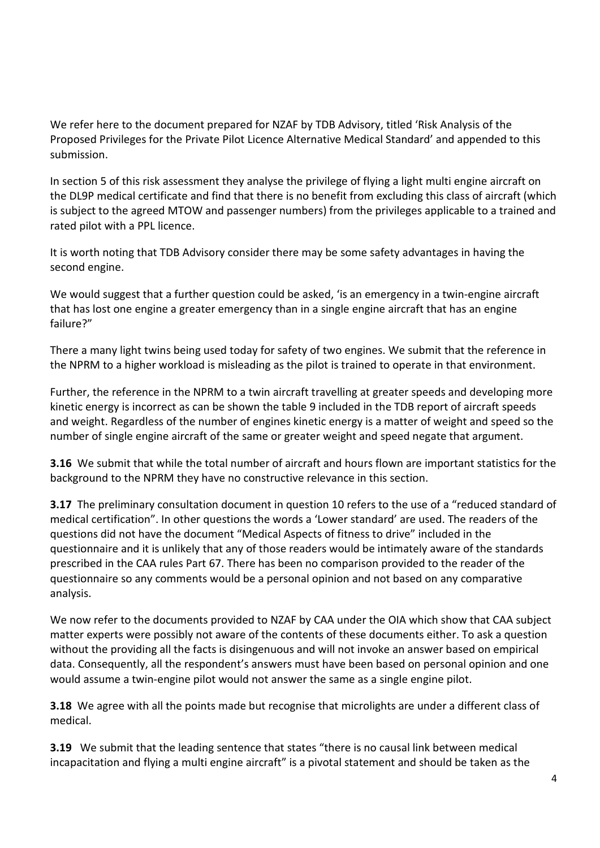We refer here to the document prepared for NZAF by TDB Advisory, titled 'Risk Analysis of the Proposed Privileges for the Private Pilot Licence Alternative Medical Standard' and appended to this submission.

In section 5 of this risk assessment they analyse the privilege of flying a light multi engine aircraft on the DL9P medical certificate and find that there is no benefit from excluding this class of aircraft (which is subject to the agreed MTOW and passenger numbers) from the privileges applicable to a trained and rated pilot with a PPL licence.

It is worth noting that TDB Advisory consider there may be some safety advantages in having the second engine.

We would suggest that a further question could be asked, 'is an emergency in a twin-engine aircraft that has lost one engine a greater emergency than in a single engine aircraft that has an engine failure?"

There a many light twins being used today for safety of two engines. We submit that the reference in the NPRM to a higher workload is misleading as the pilot is trained to operate in that environment.

Further, the reference in the NPRM to a twin aircraft travelling at greater speeds and developing more kinetic energy is incorrect as can be shown the table 9 included in the TDB report of aircraft speeds and weight. Regardless of the number of engines kinetic energy is a matter of weight and speed so the number of single engine aircraft of the same or greater weight and speed negate that argument.

**3.16** We submit that while the total number of aircraft and hours flown are important statistics for the background to the NPRM they have no constructive relevance in this section.

**3.17** The preliminary consultation document in question 10 refers to the use of a "reduced standard of medical certification". In other questions the words a 'Lower standard' are used. The readers of the questions did not have the document "Medical Aspects of fitness to drive" included in the questionnaire and it is unlikely that any of those readers would be intimately aware of the standards prescribed in the CAA rules Part 67. There has been no comparison provided to the reader of the questionnaire so any comments would be a personal opinion and not based on any comparative analysis.

We now refer to the documents provided to NZAF by CAA under the OIA which show that CAA subject matter experts were possibly not aware of the contents of these documents either. To ask a question without the providing all the facts is disingenuous and will not invoke an answer based on empirical data. Consequently, all the respondent's answers must have been based on personal opinion and one would assume a twin-engine pilot would not answer the same as a single engine pilot.

**3.18** We agree with all the points made but recognise that microlights are under a different class of medical.

**3.19** We submit that the leading sentence that states "there is no causal link between medical incapacitation and flying a multi engine aircraft" is a pivotal statement and should be taken as the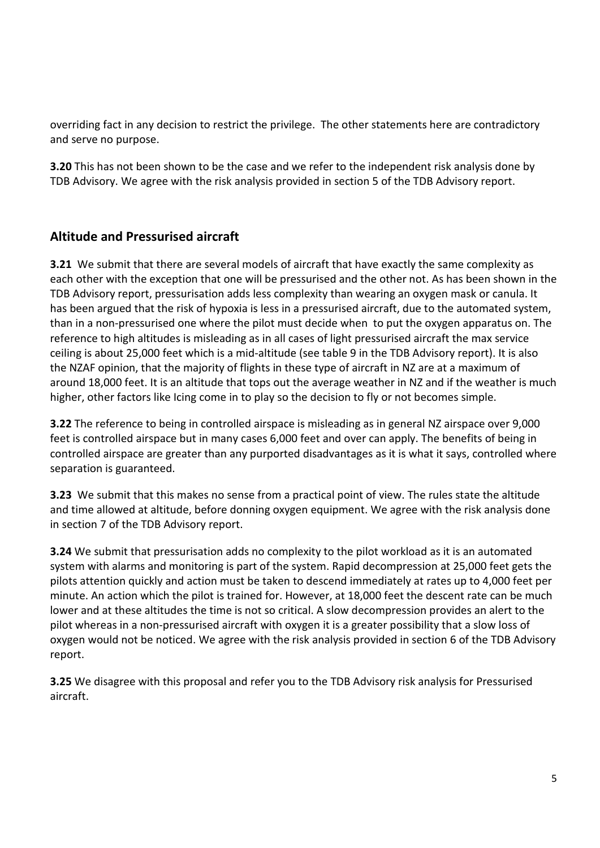overriding fact in any decision to restrict the privilege. The other statements here are contradictory and serve no purpose.

**3.20** This has not been shown to be the case and we refer to the independent risk analysis done by TDB Advisory. We agree with the risk analysis provided in section 5 of the TDB Advisory report.

#### **Altitude and Pressurised aircraft**

**3.21** We submit that there are several models of aircraft that have exactly the same complexity as each other with the exception that one will be pressurised and the other not. As has been shown in the TDB Advisory report, pressurisation adds less complexity than wearing an oxygen mask or canula. It has been argued that the risk of hypoxia is less in a pressurised aircraft, due to the automated system, than in a non-pressurised one where the pilot must decide when to put the oxygen apparatus on. The reference to high altitudes is misleading as in all cases of light pressurised aircraft the max service ceiling is about 25,000 feet which is a mid-altitude (see table 9 in the TDB Advisory report). It is also the NZAF opinion, that the majority of flights in these type of aircraft in NZ are at a maximum of around 18,000 feet. It is an altitude that tops out the average weather in NZ and if the weather is much higher, other factors like Icing come in to play so the decision to fly or not becomes simple.

**3.22** The reference to being in controlled airspace is misleading as in general NZ airspace over 9,000 feet is controlled airspace but in many cases 6,000 feet and over can apply. The benefits of being in controlled airspace are greater than any purported disadvantages as it is what it says, controlled where separation is guaranteed.

**3.23** We submit that this makes no sense from a practical point of view. The rules state the altitude and time allowed at altitude, before donning oxygen equipment. We agree with the risk analysis done in section 7 of the TDB Advisory report.

**3.24** We submit that pressurisation adds no complexity to the pilot workload as it is an automated system with alarms and monitoring is part of the system. Rapid decompression at 25,000 feet gets the pilots attention quickly and action must be taken to descend immediately at rates up to 4,000 feet per minute. An action which the pilot is trained for. However, at 18,000 feet the descent rate can be much lower and at these altitudes the time is not so critical. A slow decompression provides an alert to the pilot whereas in a non-pressurised aircraft with oxygen it is a greater possibility that a slow loss of oxygen would not be noticed. We agree with the risk analysis provided in section 6 of the TDB Advisory report.

**3.25** We disagree with this proposal and refer you to the TDB Advisory risk analysis for Pressurised aircraft.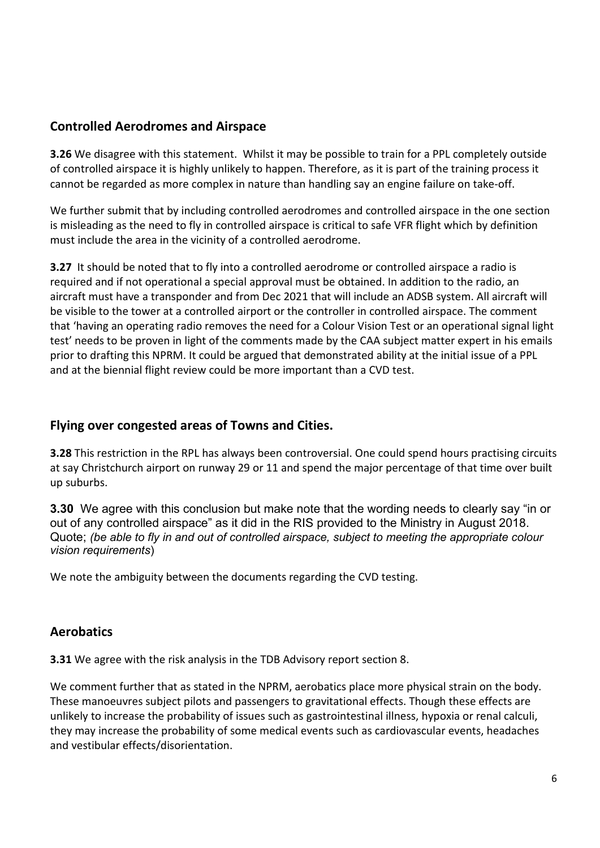#### **Controlled Aerodromes and Airspace**

**3.26** We disagree with this statement. Whilst it may be possible to train for a PPL completely outside of controlled airspace it is highly unlikely to happen. Therefore, as it is part of the training process it cannot be regarded as more complex in nature than handling say an engine failure on take-off.

We further submit that by including controlled aerodromes and controlled airspace in the one section is misleading as the need to fly in controlled airspace is critical to safe VFR flight which by definition must include the area in the vicinity of a controlled aerodrome.

**3.27** It should be noted that to fly into a controlled aerodrome or controlled airspace a radio is required and if not operational a special approval must be obtained. In addition to the radio, an aircraft must have a transponder and from Dec 2021 that will include an ADSB system. All aircraft will be visible to the tower at a controlled airport or the controller in controlled airspace. The comment that 'having an operating radio removes the need for a Colour Vision Test or an operational signal light test' needs to be proven in light of the comments made by the CAA subject matter expert in his emails prior to drafting this NPRM. It could be argued that demonstrated ability at the initial issue of a PPL and at the biennial flight review could be more important than a CVD test.

#### **Flying over congested areas of Towns and Cities.**

**3.28** This restriction in the RPL has always been controversial. One could spend hours practising circuits at say Christchurch airport on runway 29 or 11 and spend the major percentage of that time over built up suburbs.

**3.30** We agree with this conclusion but make note that the wording needs to clearly say "in or out of any controlled airspace" as it did in the RIS provided to the Ministry in August 2018. Quote; *(be able to fly in and out of controlled airspace, subject to meeting the appropriate colour vision requirements*)

We note the ambiguity between the documents regarding the CVD testing.

#### **Aerobatics**

**3.31** We agree with the risk analysis in the TDB Advisory report section 8.

We comment further that as stated in the NPRM, aerobatics place more physical strain on the body. These manoeuvres subject pilots and passengers to gravitational effects. Though these effects are unlikely to increase the probability of issues such as gastrointestinal illness, hypoxia or renal calculi, they may increase the probability of some medical events such as cardiovascular events, headaches and vestibular effects/disorientation.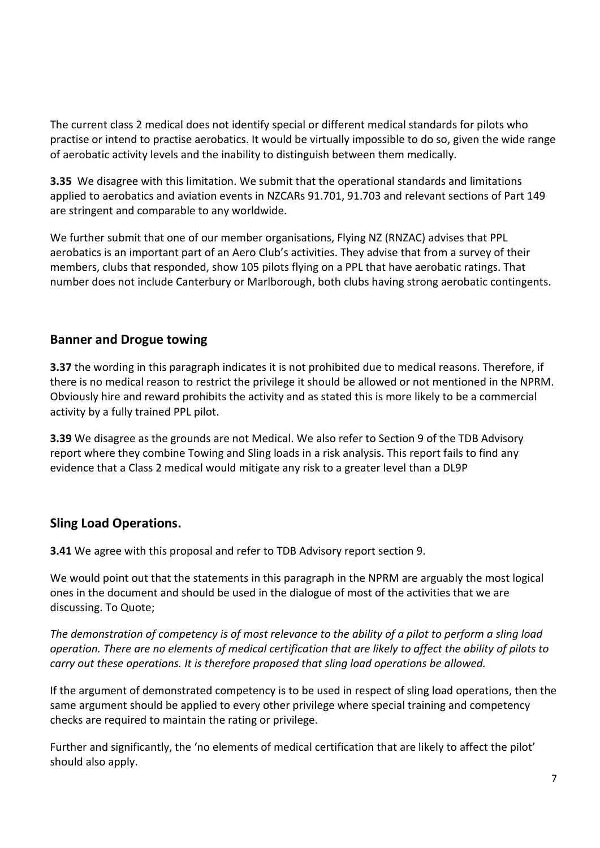The current class 2 medical does not identify special or different medical standards for pilots who practise or intend to practise aerobatics. It would be virtually impossible to do so, given the wide range of aerobatic activity levels and the inability to distinguish between them medically.

**3.35** We disagree with this limitation. We submit that the operational standards and limitations applied to aerobatics and aviation events in NZCARs 91.701, 91.703 and relevant sections of Part 149 are stringent and comparable to any worldwide.

We further submit that one of our member organisations, Flying NZ (RNZAC) advises that PPL aerobatics is an important part of an Aero Club's activities. They advise that from a survey of their members, clubs that responded, show 105 pilots flying on a PPL that have aerobatic ratings. That number does not include Canterbury or Marlborough, both clubs having strong aerobatic contingents.

#### **Banner and Drogue towing**

**3.37** the wording in this paragraph indicates it is not prohibited due to medical reasons. Therefore, if there is no medical reason to restrict the privilege it should be allowed or not mentioned in the NPRM. Obviously hire and reward prohibits the activity and as stated this is more likely to be a commercial activity by a fully trained PPL pilot.

**3.39** We disagree as the grounds are not Medical. We also refer to Section 9 of the TDB Advisory report where they combine Towing and Sling loads in a risk analysis. This report fails to find any evidence that a Class 2 medical would mitigate any risk to a greater level than a DL9P

#### **Sling Load Operations.**

**3.41** We agree with this proposal and refer to TDB Advisory report section 9.

We would point out that the statements in this paragraph in the NPRM are arguably the most logical ones in the document and should be used in the dialogue of most of the activities that we are discussing. To Quote;

*The demonstration of competency is of most relevance to the ability of a pilot to perform a sling load operation. There are no elements of medical certification that are likely to affect the ability of pilots to carry out these operations. It is therefore proposed that sling load operations be allowed.*

If the argument of demonstrated competency is to be used in respect of sling load operations, then the same argument should be applied to every other privilege where special training and competency checks are required to maintain the rating or privilege.

Further and significantly, the 'no elements of medical certification that are likely to affect the pilot' should also apply.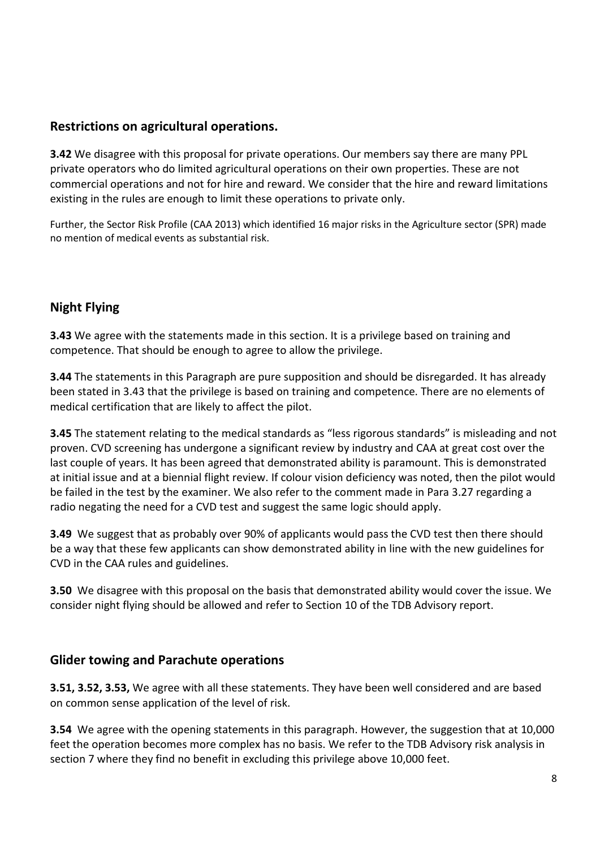#### **Restrictions on agricultural operations.**

**3.42** We disagree with this proposal for private operations. Our members say there are many PPL private operators who do limited agricultural operations on their own properties. These are not commercial operations and not for hire and reward. We consider that the hire and reward limitations existing in the rules are enough to limit these operations to private only.

Further, the Sector Risk Profile (CAA 2013) which identified 16 major risks in the Agriculture sector (SPR) made no mention of medical events as substantial risk.

#### **Night Flying**

**3.43** We agree with the statements made in this section. It is a privilege based on training and competence. That should be enough to agree to allow the privilege.

**3.44** The statements in this Paragraph are pure supposition and should be disregarded. It has already been stated in 3.43 that the privilege is based on training and competence. There are no elements of medical certification that are likely to affect the pilot.

**3.45** The statement relating to the medical standards as "less rigorous standards" is misleading and not proven. CVD screening has undergone a significant review by industry and CAA at great cost over the last couple of years. It has been agreed that demonstrated ability is paramount. This is demonstrated at initial issue and at a biennial flight review. If colour vision deficiency was noted, then the pilot would be failed in the test by the examiner. We also refer to the comment made in Para 3.27 regarding a radio negating the need for a CVD test and suggest the same logic should apply.

**3.49** We suggest that as probably over 90% of applicants would pass the CVD test then there should be a way that these few applicants can show demonstrated ability in line with the new guidelines for CVD in the CAA rules and guidelines.

**3.50** We disagree with this proposal on the basis that demonstrated ability would cover the issue. We consider night flying should be allowed and refer to Section 10 of the TDB Advisory report.

#### **Glider towing and Parachute operations**

**3.51, 3.52, 3.53,** We agree with all these statements. They have been well considered and are based on common sense application of the level of risk.

**3.54** We agree with the opening statements in this paragraph. However, the suggestion that at 10,000 feet the operation becomes more complex has no basis. We refer to the TDB Advisory risk analysis in section 7 where they find no benefit in excluding this privilege above 10,000 feet.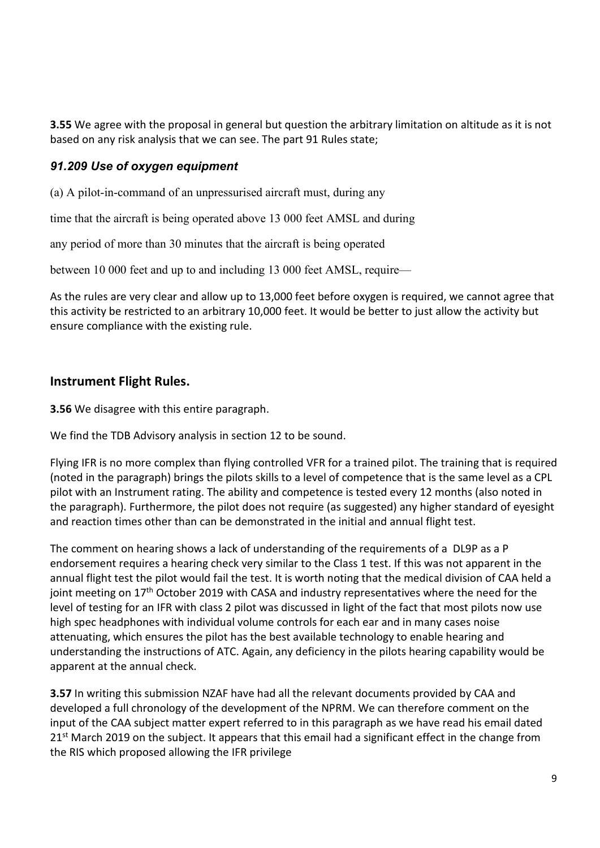**3.55** We agree with the proposal in general but question the arbitrary limitation on altitude as it is not based on any risk analysis that we can see. The part 91 Rules state;

#### *91.209 Use of oxygen equipment*

(a) A pilot-in-command of an unpressurised aircraft must, during any

time that the aircraft is being operated above 13 000 feet AMSL and during

any period of more than 30 minutes that the aircraft is being operated

between 10 000 feet and up to and including 13 000 feet AMSL, require—

As the rules are very clear and allow up to 13,000 feet before oxygen is required, we cannot agree that this activity be restricted to an arbitrary 10,000 feet. It would be better to just allow the activity but ensure compliance with the existing rule.

#### **Instrument Flight Rules.**

**3.56** We disagree with this entire paragraph.

We find the TDB Advisory analysis in section 12 to be sound.

Flying IFR is no more complex than flying controlled VFR for a trained pilot. The training that is required (noted in the paragraph) brings the pilots skills to a level of competence that is the same level as a CPL pilot with an Instrument rating. The ability and competence is tested every 12 months (also noted in the paragraph). Furthermore, the pilot does not require (as suggested) any higher standard of eyesight and reaction times other than can be demonstrated in the initial and annual flight test.

The comment on hearing shows a lack of understanding of the requirements of a DL9P as a P endorsement requires a hearing check very similar to the Class 1 test. If this was not apparent in the annual flight test the pilot would fail the test. It is worth noting that the medical division of CAA held a joint meeting on 17<sup>th</sup> October 2019 with CASA and industry representatives where the need for the level of testing for an IFR with class 2 pilot was discussed in light of the fact that most pilots now use high spec headphones with individual volume controls for each ear and in many cases noise attenuating, which ensures the pilot has the best available technology to enable hearing and understanding the instructions of ATC. Again, any deficiency in the pilots hearing capability would be apparent at the annual check.

**3.57** In writing this submission NZAF have had all the relevant documents provided by CAA and developed a full chronology of the development of the NPRM. We can therefore comment on the input of the CAA subject matter expert referred to in this paragraph as we have read his email dated  $21<sup>st</sup>$  March 2019 on the subject. It appears that this email had a significant effect in the change from the RIS which proposed allowing the IFR privilege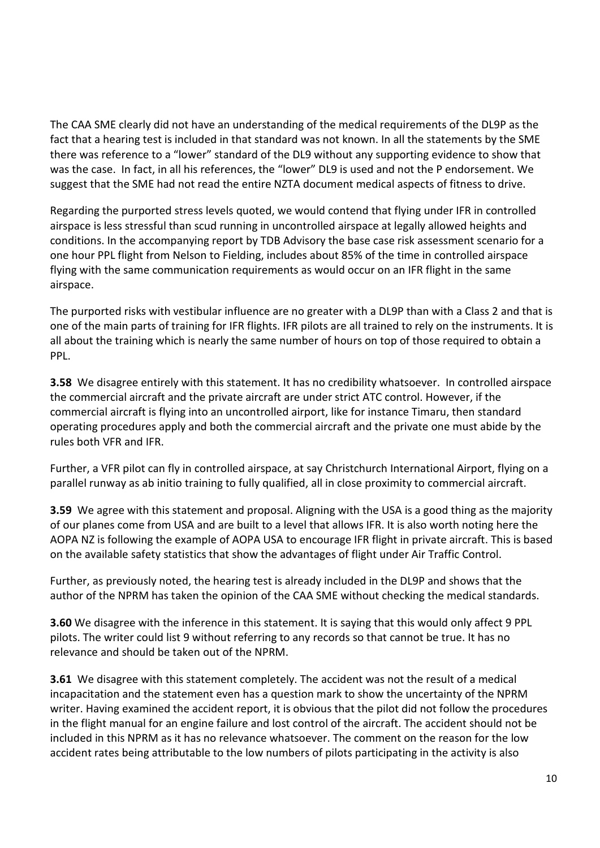The CAA SME clearly did not have an understanding of the medical requirements of the DL9P as the fact that a hearing test is included in that standard was not known. In all the statements by the SME there was reference to a "lower" standard of the DL9 without any supporting evidence to show that was the case. In fact, in all his references, the "lower" DL9 is used and not the P endorsement. We suggest that the SME had not read the entire NZTA document medical aspects of fitness to drive.

Regarding the purported stress levels quoted, we would contend that flying under IFR in controlled airspace is less stressful than scud running in uncontrolled airspace at legally allowed heights and conditions. In the accompanying report by TDB Advisory the base case risk assessment scenario for a one hour PPL flight from Nelson to Fielding, includes about 85% of the time in controlled airspace flying with the same communication requirements as would occur on an IFR flight in the same airspace.

The purported risks with vestibular influence are no greater with a DL9P than with a Class 2 and that is one of the main parts of training for IFR flights. IFR pilots are all trained to rely on the instruments. It is all about the training which is nearly the same number of hours on top of those required to obtain a PPL.

**3.58** We disagree entirely with this statement. It has no credibility whatsoever. In controlled airspace the commercial aircraft and the private aircraft are under strict ATC control. However, if the commercial aircraft is flying into an uncontrolled airport, like for instance Timaru, then standard operating procedures apply and both the commercial aircraft and the private one must abide by the rules both VFR and IFR.

Further, a VFR pilot can fly in controlled airspace, at say Christchurch International Airport, flying on a parallel runway as ab initio training to fully qualified, all in close proximity to commercial aircraft.

**3.59** We agree with this statement and proposal. Aligning with the USA is a good thing as the majority of our planes come from USA and are built to a level that allows IFR. It is also worth noting here the AOPA NZ is following the example of AOPA USA to encourage IFR flight in private aircraft. This is based on the available safety statistics that show the advantages of flight under Air Traffic Control.

Further, as previously noted, the hearing test is already included in the DL9P and shows that the author of the NPRM has taken the opinion of the CAA SME without checking the medical standards.

**3.60** We disagree with the inference in this statement. It is saying that this would only affect 9 PPL pilots. The writer could list 9 without referring to any records so that cannot be true. It has no relevance and should be taken out of the NPRM.

**3.61** We disagree with this statement completely. The accident was not the result of a medical incapacitation and the statement even has a question mark to show the uncertainty of the NPRM writer. Having examined the accident report, it is obvious that the pilot did not follow the procedures in the flight manual for an engine failure and lost control of the aircraft. The accident should not be included in this NPRM as it has no relevance whatsoever. The comment on the reason for the low accident rates being attributable to the low numbers of pilots participating in the activity is also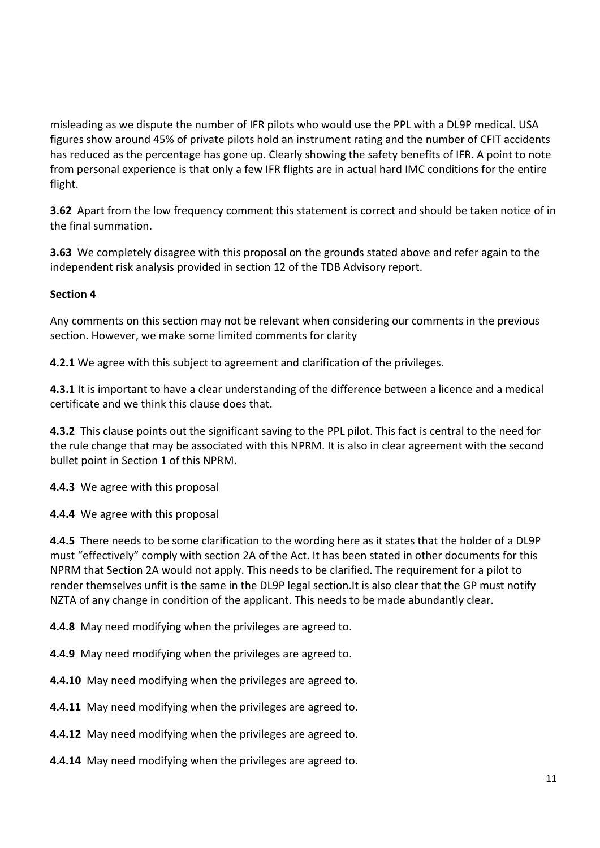misleading as we dispute the number of IFR pilots who would use the PPL with a DL9P medical. USA figures show around 45% of private pilots hold an instrument rating and the number of CFIT accidents has reduced as the percentage has gone up. Clearly showing the safety benefits of IFR. A point to note from personal experience is that only a few IFR flights are in actual hard IMC conditions for the entire flight.

**3.62** Apart from the low frequency comment this statement is correct and should be taken notice of in the final summation.

**3.63** We completely disagree with this proposal on the grounds stated above and refer again to the independent risk analysis provided in section 12 of the TDB Advisory report.

#### **Section 4**

Any comments on this section may not be relevant when considering our comments in the previous section. However, we make some limited comments for clarity

**4.2.1** We agree with this subject to agreement and clarification of the privileges.

**4.3.1** It is important to have a clear understanding of the difference between a licence and a medical certificate and we think this clause does that.

**4.3.2** This clause points out the significant saving to the PPL pilot. This fact is central to the need for the rule change that may be associated with this NPRM. It is also in clear agreement with the second bullet point in Section 1 of this NPRM.

**4.4.3** We agree with this proposal

**4.4.4** We agree with this proposal

**4.4.5** There needs to be some clarification to the wording here as it states that the holder of a DL9P must "effectively" comply with section 2A of the Act. It has been stated in other documents for this NPRM that Section 2A would not apply. This needs to be clarified. The requirement for a pilot to render themselves unfit is the same in the DL9P legal section.It is also clear that the GP must notify NZTA of any change in condition of the applicant. This needs to be made abundantly clear.

**4.4.8** May need modifying when the privileges are agreed to.

**4.4.9** May need modifying when the privileges are agreed to.

**4.4.10** May need modifying when the privileges are agreed to.

**4.4.11** May need modifying when the privileges are agreed to.

**4.4.12** May need modifying when the privileges are agreed to.

**4.4.14** May need modifying when the privileges are agreed to.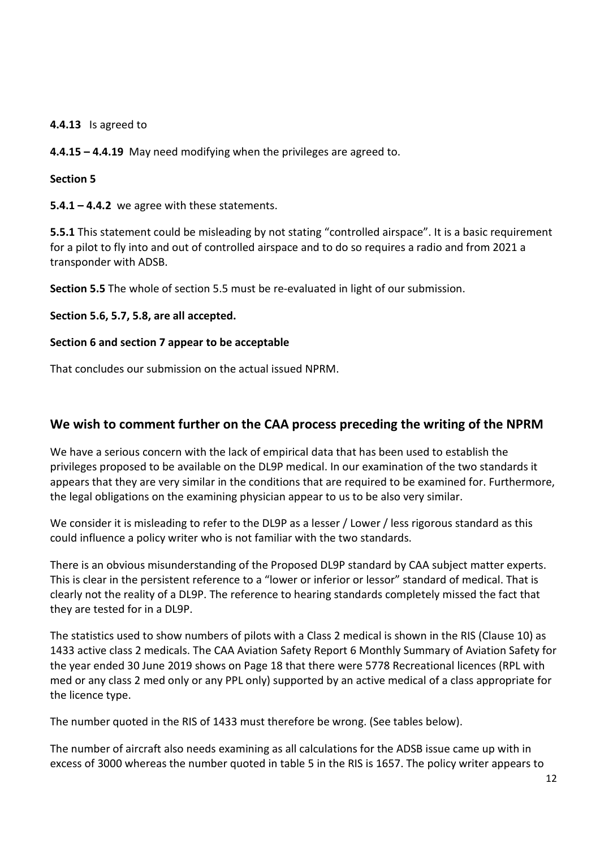**4.4.13** Is agreed to

**4.4.15 – 4.4.19** May need modifying when the privileges are agreed to.

#### **Section 5**

**5.4.1 – 4.4.2** we agree with these statements.

**5.5.1** This statement could be misleading by not stating "controlled airspace". It is a basic requirement for a pilot to fly into and out of controlled airspace and to do so requires a radio and from 2021 a transponder with ADSB.

**Section 5.5** The whole of section 5.5 must be re-evaluated in light of our submission.

**Section 5.6, 5.7, 5.8, are all accepted.**

#### **Section 6 and section 7 appear to be acceptable**

That concludes our submission on the actual issued NPRM.

#### **We wish to comment further on the CAA process preceding the writing of the NPRM**

We have a serious concern with the lack of empirical data that has been used to establish the privileges proposed to be available on the DL9P medical. In our examination of the two standards it appears that they are very similar in the conditions that are required to be examined for. Furthermore, the legal obligations on the examining physician appear to us to be also very similar.

We consider it is misleading to refer to the DL9P as a lesser / Lower / less rigorous standard as this could influence a policy writer who is not familiar with the two standards.

There is an obvious misunderstanding of the Proposed DL9P standard by CAA subject matter experts. This is clear in the persistent reference to a "lower or inferior or lessor" standard of medical. That is clearly not the reality of a DL9P. The reference to hearing standards completely missed the fact that they are tested for in a DL9P.

The statistics used to show numbers of pilots with a Class 2 medical is shown in the RIS (Clause 10) as 1433 active class 2 medicals. The CAA Aviation Safety Report 6 Monthly Summary of Aviation Safety for the year ended 30 June 2019 shows on Page 18 that there were 5778 Recreational licences (RPL with med or any class 2 med only or any PPL only) supported by an active medical of a class appropriate for the licence type.

The number quoted in the RIS of 1433 must therefore be wrong. (See tables below).

The number of aircraft also needs examining as all calculations for the ADSB issue came up with in excess of 3000 whereas the number quoted in table 5 in the RIS is 1657. The policy writer appears to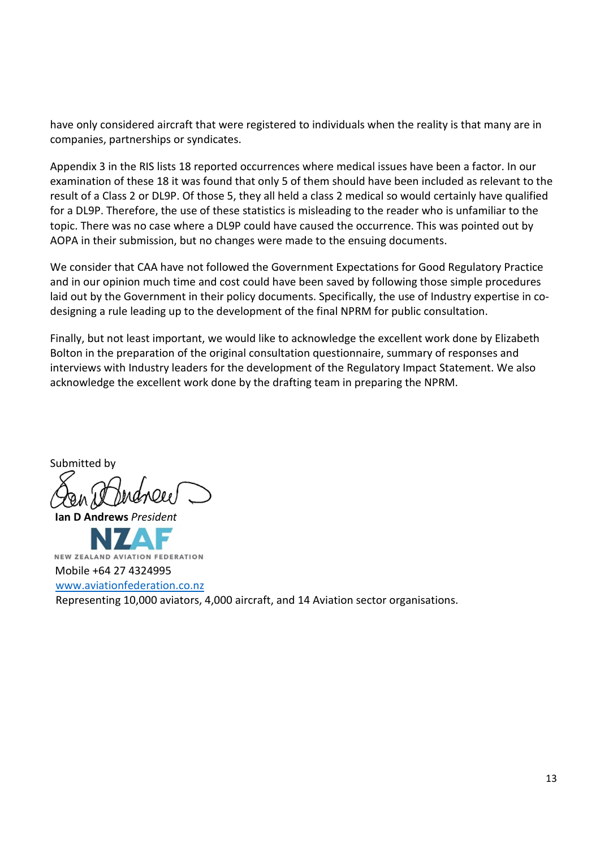have only considered aircraft that were registered to individuals when the reality is that many are in companies, partnerships or syndicates.

Appendix 3 in the RIS lists 18 reported occurrences where medical issues have been a factor. In our examination of these 18 it was found that only 5 of them should have been included as relevant to the result of a Class 2 or DL9P. Of those 5, they all held a class 2 medical so would certainly have qualified for a DL9P. Therefore, the use of these statistics is misleading to the reader who is unfamiliar to the topic. There was no case where a DL9P could have caused the occurrence. This was pointed out by AOPA in their submission, but no changes were made to the ensuing documents.

We consider that CAA have not followed the Government Expectations for Good Regulatory Practice and in our opinion much time and cost could have been saved by following those simple procedures laid out by the Government in their policy documents. Specifically, the use of Industry expertise in codesigning a rule leading up to the development of the final NPRM for public consultation.

Finally, but not least important, we would like to acknowledge the excellent work done by Elizabeth Bolton in the preparation of the original consultation questionnaire, summary of responses and interviews with Industry leaders for the development of the Regulatory Impact Statement. We also acknowledge the excellent work done by the drafting team in preparing the NPRM.

Submitted by

 **Ian D Andrews** *President*

NEW ZEALAND AVIATION FEDERATION Mobile +64 27 4324995 [www.aviationfederation.co.nz](http://www.aviationfederation.co.nz/) Representing 10,000 aviators, 4,000 aircraft, and 14 Aviation sector organisations.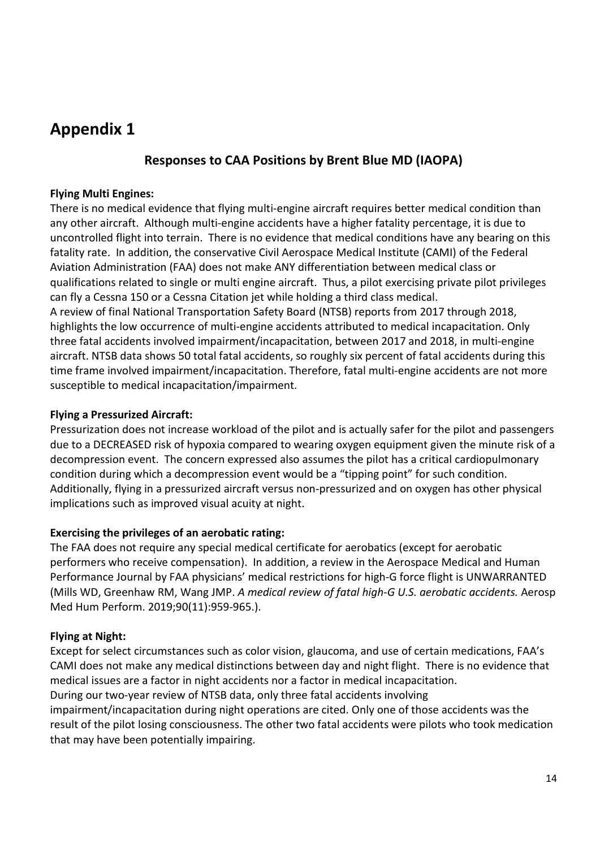## **Appendix 1**

#### **Responses to CAA Positions by Brent Blue MD (IAOPA)**

#### **Flying Multi Engines:**

There is no medical evidence that flying multi-engine aircraft requires better medical condition than any other aircraft. Although multi-engine accidents have a higher fatality percentage, it is due to uncontrolled flight into terrain. There is no evidence that medical conditions have any bearing on this fatality rate. In addition, the conservative Civil Aerospace Medical Institute (CAMI) of the Federal Aviation Administration (FAA) does not make ANY differentiation between medical class or qualifications related to single or multi engine aircraft. Thus, a pilot exercising private pilot privileges can fly a Cessna 150 or a Cessna Citation jet while holding a third class medical. A review of final National Transportation Safety Board (NTSB) reports from 2017 through 2018, highlights the low occurrence of multi-engine accidents attributed to medical incapacitation. Only three fatal accidents involved impairment/incapacitation, between 2017 and 2018, in multi-engine aircraft. NTSB data shows 50 total fatal accidents, so roughly six percent of fatal accidents during this time frame involved impairment/incapacitation. Therefore, fatal multi-engine accidents are not more susceptible to medical incapacitation/impairment.

#### **Flying a Pressurized Aircraft:**

Pressurization does not increase workload of the pilot and is actually safer for the pilot and passengers due to a DECREASED risk of hypoxia compared to wearing oxygen equipment given the minute risk of a decompression event. The concern expressed also assumes the pilot has a critical cardiopulmonary condition during which a decompression event would be a "tipping point" for such condition. Additionally, flying in a pressurized aircraft versus non-pressurized and on oxygen has other physical implications such as improved visual acuity at night.

#### **Exercising the privileges of an aerobatic rating:**

The FAA does not require any special medical certificate for aerobatics (except for aerobatic performers who receive compensation). In addition, a review in the Aerospace Medical and Human Performance Journal by FAA physicians' medical restrictions for high-G force flight is UNWARRANTED (Mills WD, Greenhaw RM, Wang JMP. *A medical review of fatal high-G U.S. aerobatic accidents.* Aerosp Med Hum Perform. 2019;90(11):959-965.).

#### **Flying at Night:**

Except for select circumstances such as color vision, glaucoma, and use of certain medications, FAA's CAMI does not make any medical distinctions between day and night flight. There is no evidence that medical issues are a factor in night accidents nor a factor in medical incapacitation. During our two-year review of NTSB data, only three fatal accidents involving impairment/incapacitation during night operations are cited. Only one of those accidents was the result of the pilot losing consciousness. The other two fatal accidents were pilots who took medication

that may have been potentially impairing.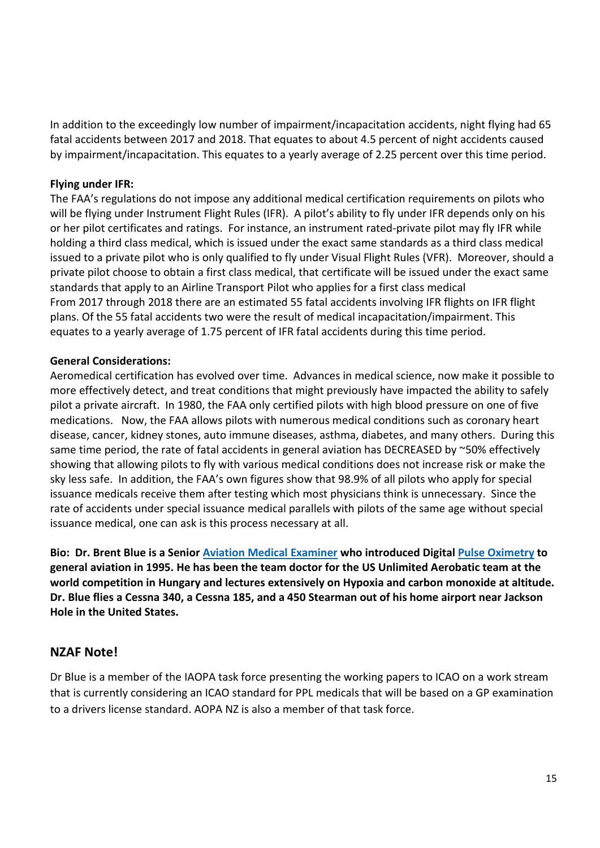In addition to the exceedingly low number of impairment/incapacitation accidents, night flying had 65 fatal accidents between 2017 and 2018. That equates to about 4.5 percent of night accidents caused by impairment/incapacitation. This equates to a yearly average of 2.25 percent over this time period.

#### **Flying under IFR:**

The FAA's regulations do not impose any additional medical certification requirements on pilots who will be flying under Instrument Flight Rules (IFR). A pilot's ability to fly under IFR depends only on his or her pilot certificates and ratings. For instance, an instrument rated-private pilot may fly IFR while holding a third class medical, which is issued under the exact same standards as a third class medical issued to a private pilot who is only qualified to fly under Visual Flight Rules (VFR). Moreover, should a private pilot choose to obtain a first class medical, that certificate will be issued under the exact same standards that apply to an Airline Transport Pilot who applies for a first class medical From 2017 through 2018 there are an estimated 55 fatal accidents involving IFR flights on IFR flight plans. Of the 55 fatal accidents two were the result of medical incapacitation/impairment. This equates to a yearly average of 1.75 percent of IFR fatal accidents during this time period.

#### **General Considerations:**

Aeromedical certification has evolved over time. Advances in medical science, now make it possible to more effectively detect, and treat conditions that might previously have impacted the ability to safely pilot a private aircraft. In 1980, the FAA only certified pilots with high blood pressure on one of five medications. Now, the FAA allows pilots with numerous medical conditions such as coronary heart disease, cancer, kidney stones, auto immune diseases, asthma, diabetes, and many others. During this same time period, the rate of fatal accidents in general aviation has DECREASED by ~50% effectively showing that allowing pilots to fly with various medical conditions does not increase risk or make the sky less safe. In addition, the FAA's own figures show that 98.9% of all pilots who apply for special issuance medicals receive them after testing which most physicians think is unnecessary. Since the rate of accidents under special issuance medical parallels with pilots of the same age without special issuance medical, one can ask is this process necessary at all.

**Bio: Dr. Brent Blue is a Senior [Aviation Medical Examiner](https://www.faa.gov/about/office_org/headquarters_offices/avs/offices/aam/ame/guide/) who introduced Digital [Pulse Oximetry](https://en.wikipedia.org/wiki/Pulse_oximetry) to general aviation in 1995. He has been the team doctor for the US Unlimited Aerobatic team at the world competition in Hungary and lectures extensively on Hypoxia and carbon monoxide at altitude. Dr. Blue flies a Cessna 340, a Cessna 185, and a 450 Stearman out of his home airport near Jackson Hole in the United States.**

#### **NZAF Note!**

Dr Blue is a member of the IAOPA task force presenting the working papers to ICAO on a work stream that is currently considering an ICAO standard for PPL medicals that will be based on a GP examination to a drivers license standard. AOPA NZ is also a member of that task force.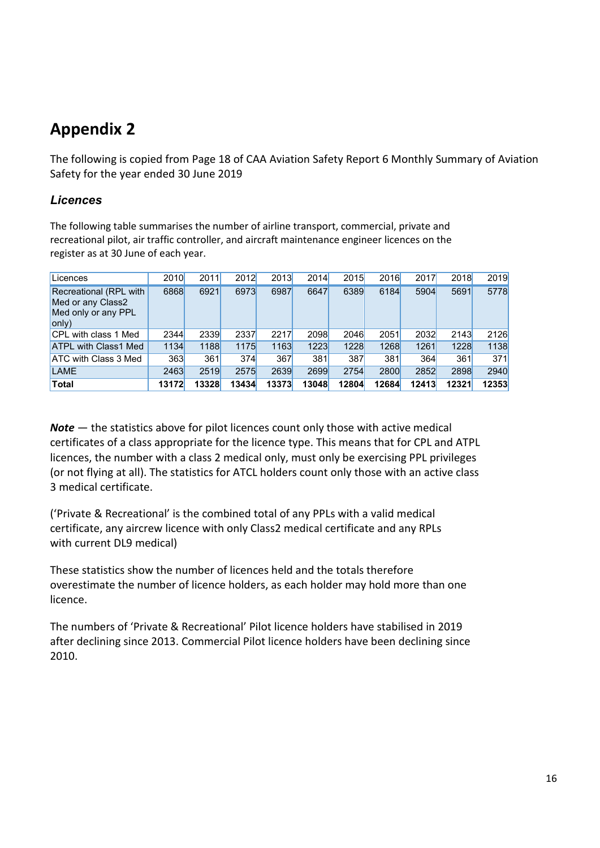## **Appendix 2**

The following is copied from Page 18 of CAA Aviation Safety Report 6 Monthly Summary of Aviation Safety for the year ended 30 June 2019

#### *Licences*

The following table summarises the number of airline transport, commercial, private and recreational pilot, air traffic controller, and aircraft maintenance engineer licences on the register as at 30 June of each year.

| Licences                                                                    | 2010  | 2011  | 2012  | 2013  | 2014  | 2015  | 2016  | 2017  | 2018  | 2019  |
|-----------------------------------------------------------------------------|-------|-------|-------|-------|-------|-------|-------|-------|-------|-------|
| Recreational (RPL with<br>Med or any Class2<br>Med only or any PPL<br>only) | 6868  | 6921  | 6973  | 6987  | 6647  | 6389  | 6184  | 5904  | 5691  | 5778  |
| <b>CPL with class 1 Med</b>                                                 | 2344  | 2339  | 2337  | 2217  | 2098  | 2046  | 2051  | 2032  | 2143  | 2126  |
| <b>ATPL with Class1 Med</b>                                                 | 1134  | 1188  | 1175  | 1163  | 1223  | 1228  | 1268  | 1261  | 1228  | 1138  |
| <b>ATC with Class 3 Med</b>                                                 | 363   | 361   | 374   | 367   | 381   | 387   | 381   | 364   | 361   | 371   |
| <b>LAME</b>                                                                 | 2463  | 2519  | 2575  | 2639  | 2699  | 2754  | 2800  | 2852  | 2898  | 2940  |
| <b>Total</b>                                                                | 13172 | 13328 | 13434 | 13373 | 13048 | 12804 | 12684 | 12413 | 12321 | 12353 |

*Note* — the statistics above for pilot licences count only those with active medical certificates of a class appropriate for the licence type. This means that for CPL and ATPL licences, the number with a class 2 medical only, must only be exercising PPL privileges (or not flying at all). The statistics for ATCL holders count only those with an active class 3 medical certificate.

('Private & Recreational' is the combined total of any PPLs with a valid medical certificate, any aircrew licence with only Class2 medical certificate and any RPLs with current DL9 medical)

These statistics show the number of licences held and the totals therefore overestimate the number of licence holders, as each holder may hold more than one licence.

The numbers of 'Private & Recreational' Pilot licence holders have stabilised in 2019 after declining since 2013. Commercial Pilot licence holders have been declining since 2010.